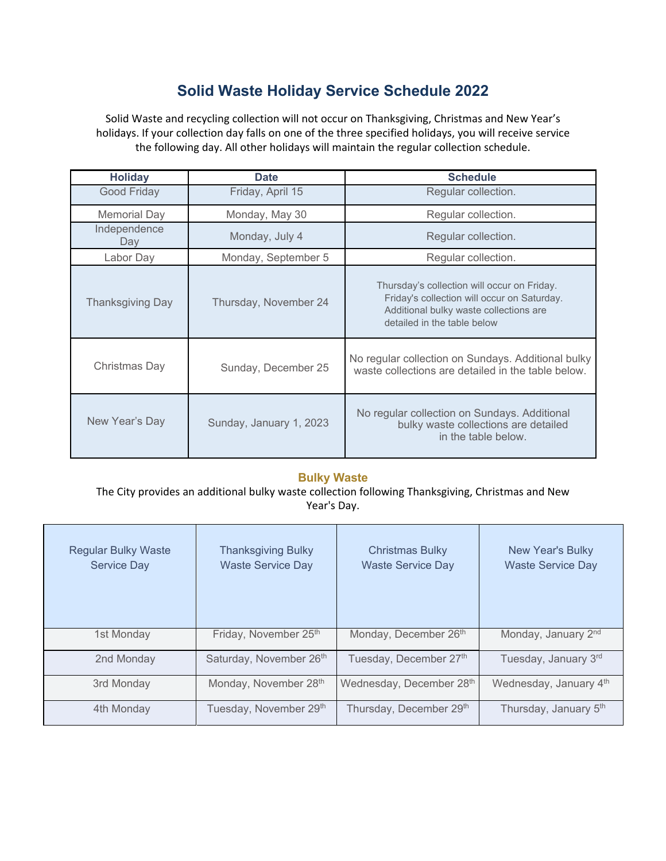# **Solid Waste Holiday Service Schedule 2022**

Solid Waste and recycling collection will not occur on Thanksgiving, Christmas and New Year's holidays. If your collection day falls on one of the three specified holidays, you will receive service the following day. All other holidays will maintain the regular collection schedule.

| <b>Holiday</b>          | <b>Date</b>             | <b>Schedule</b>                                                                                                                                                     |  |
|-------------------------|-------------------------|---------------------------------------------------------------------------------------------------------------------------------------------------------------------|--|
| Good Friday             | Friday, April 15        | Regular collection.                                                                                                                                                 |  |
| Memorial Day            | Monday, May 30          | Regular collection.                                                                                                                                                 |  |
| Independence<br>Day     | Monday, July 4          | Regular collection.                                                                                                                                                 |  |
| Labor Day               | Monday, September 5     | Regular collection.                                                                                                                                                 |  |
| <b>Thanksgiving Day</b> | Thursday, November 24   | Thursday's collection will occur on Friday.<br>Friday's collection will occur on Saturday.<br>Additional bulky waste collections are<br>detailed in the table below |  |
| Christmas Day           | Sunday, December 25     | No regular collection on Sundays. Additional bulky<br>waste collections are detailed in the table below.                                                            |  |
| New Year's Day          | Sunday, January 1, 2023 | No regular collection on Sundays. Additional<br>bulky waste collections are detailed<br>in the table below.                                                         |  |

#### **Bulky Waste**

The City provides an additional bulky waste collection following Thanksgiving, Christmas and New Year's Day.

| <b>Regular Bulky Waste</b><br><b>Service Day</b> | <b>Thanksgiving Bulky</b><br><b>Waste Service Day</b> | <b>Christmas Bulky</b><br><b>Waste Service Day</b> | New Year's Bulky<br><b>Waste Service Day</b> |
|--------------------------------------------------|-------------------------------------------------------|----------------------------------------------------|----------------------------------------------|
| 1st Monday                                       | Friday, November 25th                                 | Monday, December 26 <sup>th</sup>                  | Monday, January 2 <sup>nd</sup>              |
| 2nd Monday                                       | Saturday, November 26th                               | Tuesday, December 27 <sup>th</sup>                 | Tuesday, January 3rd                         |
| 3rd Monday                                       | Monday, November 28th                                 | Wednesday, December 28th                           | Wednesday, January 4th                       |
| 4th Monday                                       | Tuesday, November 29 <sup>th</sup>                    | Thursday, December 29th                            | Thursday, January 5 <sup>th</sup>            |